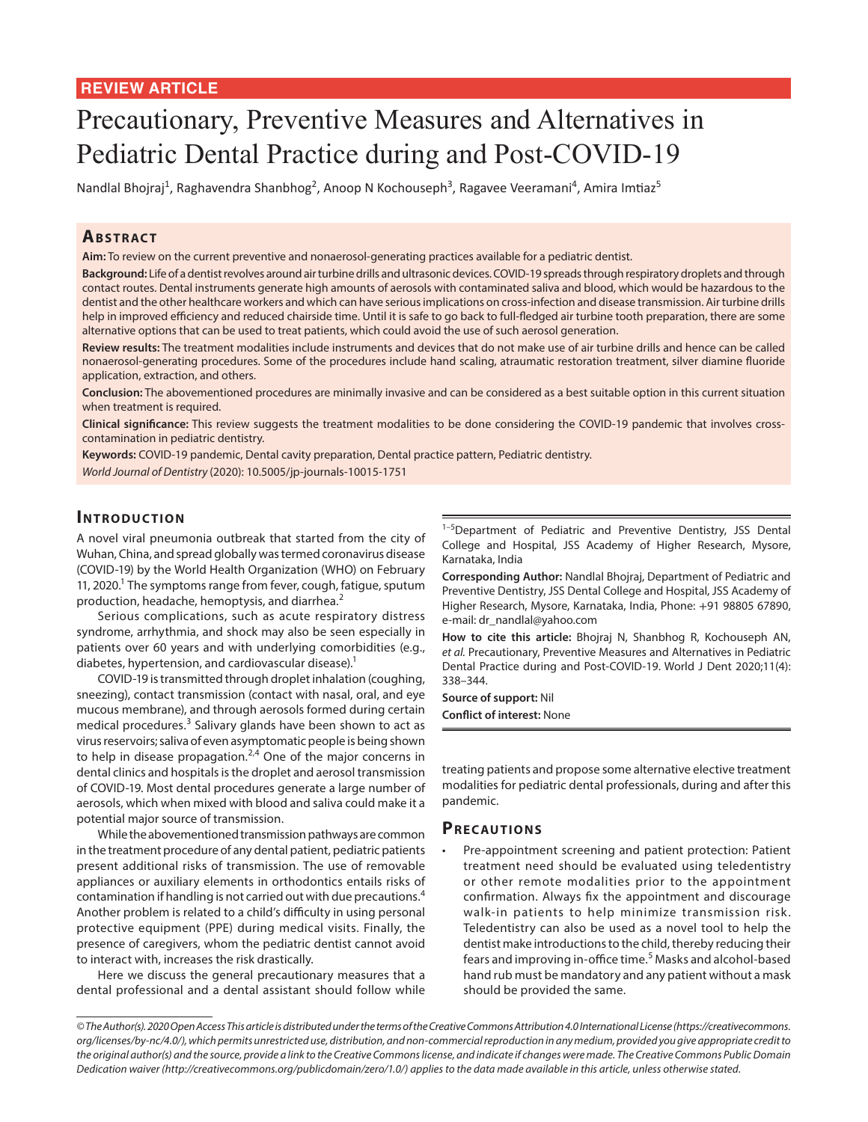# **REVIEW ARTICLE**

# Precautionary, Preventive Measures and Alternatives in Pediatric Dental Practice during and Post-COVID-19

Nandlal Bhojraj<sup>1</sup>, Raghavendra Shanbhog<sup>2</sup>, Anoop N Kochouseph<sup>3</sup>, Ragavee Veeramani<sup>4</sup>, Amira Imtiaz<sup>5</sup>

# **ABSTRACT**

**Aim:** To review on the current preventive and nonaerosol-generating practices available for a pediatric dentist.

**Background:** Life of a dentist revolves around air turbine drills and ultrasonic devices. COVID-19 spreads through respiratory droplets and through contact routes. Dental instruments generate high amounts of aerosols with contaminated saliva and blood, which would be hazardous to the dentist and the other healthcare workers and which can have serious implications on cross-infection and disease transmission. Air turbine drills help in improved efficiency and reduced chairside time. Until it is safe to go back to full-fledged air turbine tooth preparation, there are some alternative options that can be used to treat patients, which could avoid the use of such aerosol generation.

**Review results:** The treatment modalities include instruments and devices that do not make use of air turbine drills and hence can be called nonaerosol-generating procedures. Some of the procedures include hand scaling, atraumatic restoration treatment, silver diamine fluoride application, extraction, and others.

**Conclusion:** The abovementioned procedures are minimally invasive and can be considered as a best suitable option in this current situation when treatment is required.

**Clinical significance:** This review suggests the treatment modalities to be done considering the COVID-19 pandemic that involves crosscontamination in pediatric dentistry.

**Keywords:** COVID-19 pandemic, Dental cavity preparation, Dental practice pattern, Pediatric dentistry. *World Journal of Dentistry* (2020): 10.5005/jp-journals-10015-1751

# **INTRODUCTION**

A novel viral pneumonia outbreak that started from the city of Wuhan, China, and spread globally was termed coronavirus disease (COVID-19) by the World Health Organization (WHO) on February 11, 2020.<sup>1</sup> The symptoms range from fever, cough, fatigue, sputum production, headache, hemoptysis, and diarrhea.<sup>2</sup>

Serious complications, such as acute respiratory distress syndrome, arrhythmia, and shock may also be seen especially in patients over 60 years and with underlying comorbidities (e.g., diabetes, hypertension, and cardiovascular disease).<sup>1</sup>

COVID-19 is transmitted through droplet inhalation (coughing, sneezing), contact transmission (contact with nasal, oral, and eye mucous membrane), and through aerosols formed during certain medical procedures.<sup>3</sup> Salivary glands have been shown to act as virus reservoirs; saliva of even asymptomatic people is being shown to help in disease propagation.<sup>2,4</sup> One of the major concerns in dental clinics and hospitals is the droplet and aerosol transmission of COVID-19. Most dental procedures generate a large number of aerosols, which when mixed with blood and saliva could make it a potential major source of transmission.

While the abovementioned transmission pathways are common in the treatment procedure of any dental patient, pediatric patients present additional risks of transmission. The use of removable appliances or auxiliary elements in orthodontics entails risks of contamination if handling is not carried out with due precautions.<sup>4</sup> Another problem is related to a child's difficulty in using personal protective equipment (PPE) during medical visits. Finally, the presence of caregivers, whom the pediatric dentist cannot avoid to interact with, increases the risk drastically.

Here we discuss the general precautionary measures that a dental professional and a dental assistant should follow while <sup>1-5</sup>Department of Pediatric and Preventive Dentistry, JSS Dental College and Hospital, JSS Academy of Higher Research, Mysore, Karnataka, India

**Corresponding Author:** Nandlal Bhojraj, Department of Pediatric and Preventive Dentistry, JSS Dental College and Hospital, JSS Academy of Higher Research, Mysore, Karnataka, India, Phone: +91 98805 67890, e-mail: dr\_nandlal@yahoo.com

**How to cite this article:** Bhojraj N, Shanbhog R, Kochouseph AN, *et al.* Precautionary, Preventive Measures and Alternatives in Pediatric Dental Practice during and Post-COVID-19. World J Dent 2020;11(4): 338–344.

**Source of support:** Nil **Conflict of interest:** None

treating patients and propose some alternative elective treatment modalities for pediatric dental professionals, during and after this pandemic.

## **PRECAUTIONS**

• Pre-appointment screening and patient protection: Patient treatment need should be evaluated using teledentistry or other remote modalities prior to the appointment confirmation. Always fix the appointment and discourage walk-in patients to help minimize transmission risk. Teledentistry can also be used as a novel tool to help the dentist make introductions to the child, thereby reducing their fears and improving in-office time.<sup>5</sup> Masks and alcohol-based hand rub must be mandatory and any patient without a mask should be provided the same.

*<sup>©</sup> The Author(s). 2020 Open Access This article is distributed under the terms of the Creative Commons Attribution 4.0 International License (https://creativecommons. org/licenses/by-nc/4.0/), which permits unrestricted use, distribution, and non-commercial reproduction in any medium, provided you give appropriate credit to the original author(s) and the source, provide a link to the Creative Commons license, and indicate if changes were made. The Creative Commons Public Domain Dedication waiver (http://creativecommons.org/publicdomain/zero/1.0/) applies to the data made available in this article, unless otherwise stated.*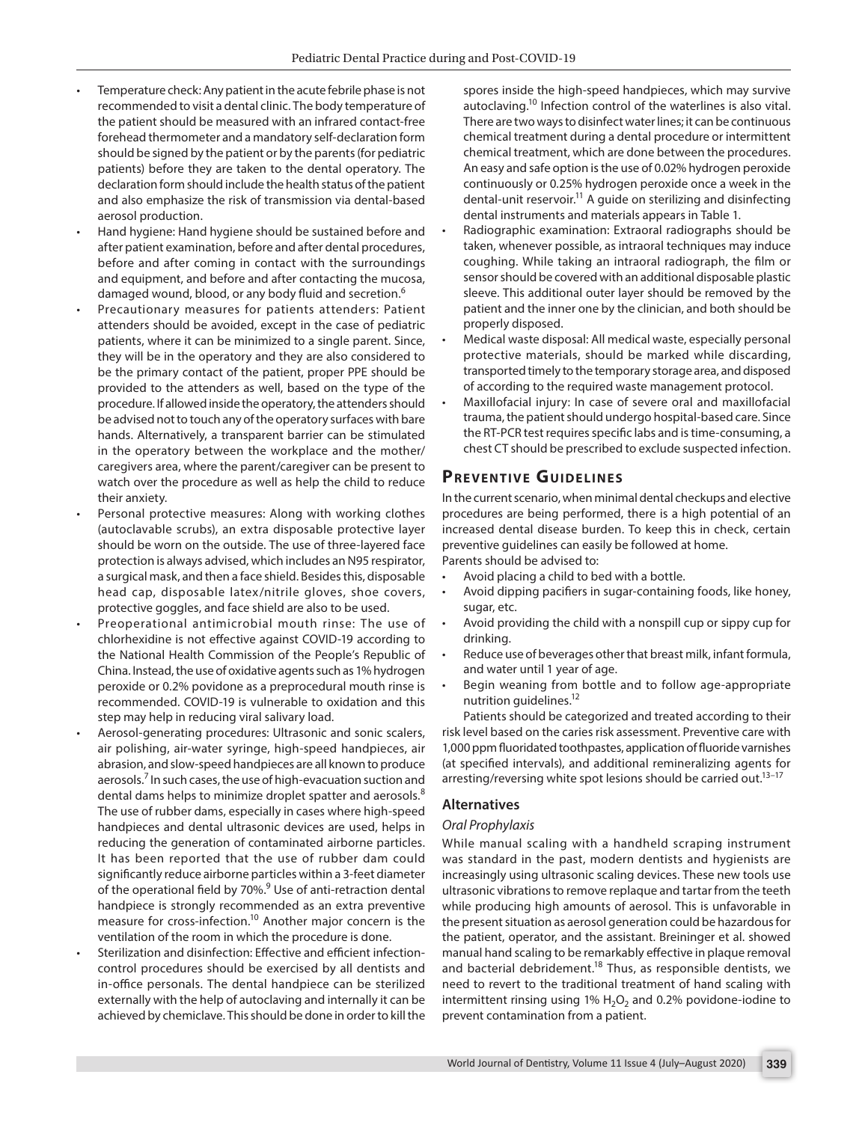- Temperature check: Any patient in the acute febrile phase is not recommended to visit a dental clinic. The body temperature of the patient should be measured with an infrared contact-free forehead thermometer and a mandatory self-declaration form should be signed by the patient or by the parents (for pediatric patients) before they are taken to the dental operatory. The declaration form should include the health status of the patient and also emphasize the risk of transmission via dental-based aerosol production.
- Hand hygiene: Hand hygiene should be sustained before and after patient examination, before and after dental procedures, before and after coming in contact with the surroundings and equipment, and before and after contacting the mucosa, damaged wound, blood, or any body fluid and secretion.<sup>6</sup>
- Precautionary measures for patients attenders: Patient attenders should be avoided, except in the case of pediatric patients, where it can be minimized to a single parent. Since, they will be in the operatory and they are also considered to be the primary contact of the patient, proper PPE should be provided to the attenders as well, based on the type of the procedure. If allowed inside the operatory, the attenders should be advised not to touch any of the operatory surfaces with bare hands. Alternatively, a transparent barrier can be stimulated in the operatory between the workplace and the mother/ caregivers area, where the parent/caregiver can be present to watch over the procedure as well as help the child to reduce their anxiety.
- Personal protective measures: Along with working clothes (autoclavable scrubs), an extra disposable protective layer should be worn on the outside. The use of three-layered face protection is always advised, which includes an N95 respirator, a surgical mask, and then a face shield. Besides this, disposable head cap, disposable latex/nitrile gloves, shoe covers, protective goggles, and face shield are also to be used.
- Preoperational antimicrobial mouth rinse: The use of chlorhexidine is not effective against COVID-19 according to the National Health Commission of the People's Republic of China. Instead, the use of oxidative agents such as 1% hydrogen peroxide or 0.2% povidone as a preprocedural mouth rinse is recommended. COVID-19 is vulnerable to oxidation and this step may help in reducing viral salivary load.
- Aerosol-generating procedures: Ultrasonic and sonic scalers, air polishing, air-water syringe, high-speed handpieces, air abrasion, and slow-speed handpieces are all known to produce aerosols.<sup>7</sup> In such cases, the use of high-evacuation suction and dental dams helps to minimize droplet spatter and aerosols.<sup>8</sup> The use of rubber dams, especially in cases where high-speed handpieces and dental ultrasonic devices are used, helps in reducing the generation of contaminated airborne particles. It has been reported that the use of rubber dam could significantly reduce airborne particles within a 3-feet diameter of the operational field by 70%.<sup>9</sup> Use of anti-retraction dental handpiece is strongly recommended as an extra preventive measure for cross-infection.<sup>10</sup> Another major concern is the ventilation of the room in which the procedure is done.
- Sterilization and disinfection: Effective and efficient infectioncontrol procedures should be exercised by all dentists and in-office personals. The dental handpiece can be sterilized externally with the help of autoclaving and internally it can be achieved by chemiclave. This should be done in order to kill the

spores inside the high-speed handpieces, which may survive autoclaving.<sup>10</sup> Infection control of the waterlines is also vital. There are two ways to disinfect water lines; it can be continuous chemical treatment during a dental procedure or intermittent chemical treatment, which are done between the procedures. An easy and safe option is the use of 0.02% hydrogen peroxide continuously or 0.25% hydrogen peroxide once a week in the dental-unit reservoir.<sup>11</sup> A guide on sterilizing and disinfecting dental instruments and materials appears in Table 1.

- Radiographic examination: Extraoral radiographs should be taken, whenever possible, as intraoral techniques may induce coughing. While taking an intraoral radiograph, the film or sensor should be covered with an additional disposable plastic sleeve. This additional outer layer should be removed by the patient and the inner one by the clinician, and both should be properly disposed.
- Medical waste disposal: All medical waste, especially personal protective materials, should be marked while discarding, transported timely to the temporary storage area, and disposed of according to the required waste management protocol.
- Maxillofacial injury: In case of severe oral and maxillofacial trauma, the patient should undergo hospital-based care. Since the RT-PCR test requires specific labs and is time-consuming, a chest CT should be prescribed to exclude suspected infection.

# **PREVENTIVE GUIDELINES**

In the current scenario, when minimal dental checkups and elective procedures are being performed, there is a high potential of an increased dental disease burden. To keep this in check, certain preventive guidelines can easily be followed at home.

Parents should be advised to:

- Avoid placing a child to bed with a bottle.
- Avoid dipping pacifiers in sugar-containing foods, like honey, sugar, etc.
- Avoid providing the child with a nonspill cup or sippy cup for drinking.
- Reduce use of beverages other that breast milk, infant formula, and water until 1 year of age.
- Begin weaning from bottle and to follow age-appropriate nutrition guidelines.12

Patients should be categorized and treated according to their risk level based on the caries risk assessment. Preventive care with 1,000 ppm fluoridated toothpastes, application of fluoride varnishes (at specified intervals), and additional remineralizing agents for arresting/reversing white spot lesions should be carried out.<sup>13-17</sup>

## **Alternatives**

## *Oral Prophylaxis*

While manual scaling with a handheld scraping instrument was standard in the past, modern dentists and hygienists are increasingly using ultrasonic scaling devices. These new tools use ultrasonic vibrations to remove replaque and tartar from the teeth while producing high amounts of aerosol. This is unfavorable in the present situation as aerosol generation could be hazardous for the patient, operator, and the assistant. Breininger et al. showed manual hand scaling to be remarkably effective in plaque removal and bacterial debridement.<sup>18</sup> Thus, as responsible dentists, we need to revert to the traditional treatment of hand scaling with intermittent rinsing using 1%  $H_2O_2$  and 0.2% povidone-iodine to prevent contamination from a patient.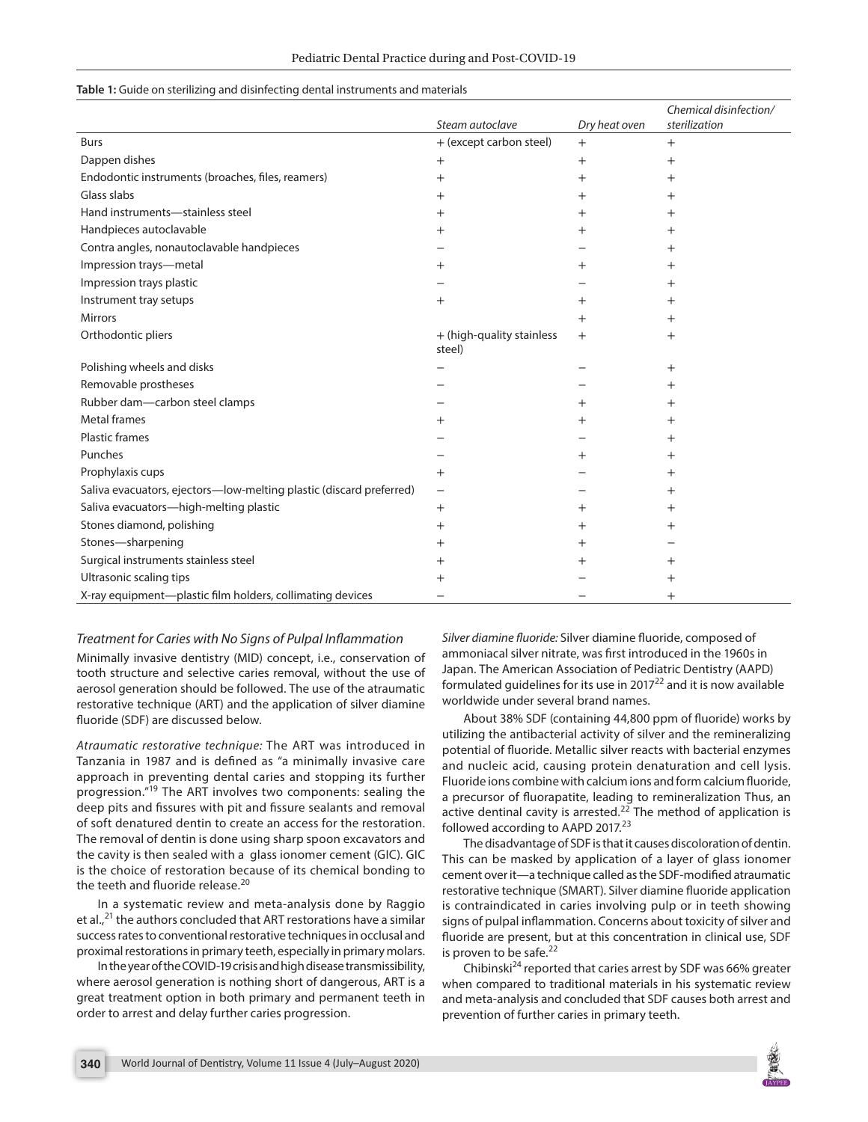|  |  | Table 1: Guide on sterilizing and disinfecting dental instruments and materials |  |  |  |  |
|--|--|---------------------------------------------------------------------------------|--|--|--|--|
|--|--|---------------------------------------------------------------------------------|--|--|--|--|

|                                                                     | Steam autoclave                     | Dry heat oven      | Chemical disinfection/<br>sterilization |
|---------------------------------------------------------------------|-------------------------------------|--------------------|-----------------------------------------|
| Burs                                                                | + (except carbon steel)             |                    |                                         |
|                                                                     |                                     | $+$                | $^{+}$                                  |
| Dappen dishes                                                       | $\! +$                              | $\hspace{0.1mm} +$ | $\,{}^+$                                |
| Endodontic instruments (broaches, files, reamers)                   | $^{+}$                              | $^+$               | $^+$                                    |
| Glass slabs                                                         | $^{+}$                              | $^+$               | $^+$                                    |
| Hand instruments-stainless steel                                    | $^+$                                | $^+$               | $^+$                                    |
| Handpieces autoclavable                                             | $^+$                                | $^+$               | $^+$                                    |
| Contra angles, nonautoclavable handpieces                           |                                     |                    | $^+$                                    |
| Impression trays-metal                                              | $^{+}$                              | $^{+}$             | $^+$                                    |
| Impression trays plastic                                            |                                     |                    | $^+$                                    |
| Instrument tray setups                                              | $^{+}$                              | $^+$               | $^+$                                    |
| <b>Mirrors</b>                                                      |                                     | $^{+}$             | $^+$                                    |
| Orthodontic pliers                                                  | + (high-quality stainless<br>steel) | $^{+}$             | $^{+}$                                  |
| Polishing wheels and disks                                          |                                     |                    | $\hspace{.01in} +$                      |
| Removable prostheses                                                |                                     |                    | $^+$                                    |
| Rubber dam-carbon steel clamps                                      |                                     | $^+$               | $^+$                                    |
| <b>Metal frames</b>                                                 | $^+$                                | $^+$               | $^+$                                    |
| <b>Plastic frames</b>                                               |                                     |                    | $^+$                                    |
| Punches                                                             |                                     | $^+$               | $^+$                                    |
| Prophylaxis cups                                                    | $^{+}$                              |                    | $^+$                                    |
| Saliva evacuators, ejectors-low-melting plastic (discard preferred) | $\overline{\phantom{0}}$            |                    | $^+$                                    |
| Saliva evacuators-high-melting plastic                              | $\mathrm{+}$                        | $^{+}$             | $^+$                                    |
| Stones diamond, polishing                                           | $^{+}$                              | $^+$               | $^+$                                    |
| Stones-sharpening                                                   | $^{+}$                              | $^+$               |                                         |
| Surgical instruments stainless steel                                | $\,+\,$                             | $\mathrm{+}$       | $^+$                                    |
| Ultrasonic scaling tips                                             | $^+$                                |                    | $\,{}^+$                                |
| X-ray equipment-plastic film holders, collimating devices           |                                     |                    | $^+$                                    |

#### *Treatment for Caries with No Signs of Pulpal Inflammation*

Minimally invasive dentistry (MID) concept, i.e., conservation of tooth structure and selective caries removal, without the use of aerosol generation should be followed. The use of the atraumatic restorative technique (ART) and the application of silver diamine fluoride (SDF) are discussed below.

*Atraumatic restorative technique:* The ART was introduced in Tanzania in 1987 and is defined as "a minimally invasive care approach in preventing dental caries and stopping its further progression."19 The ART involves two components: sealing the deep pits and fissures with pit and fissure sealants and removal of soft denatured dentin to create an access for the restoration. The removal of dentin is done using sharp spoon excavators and the cavity is then sealed with a glass ionomer cement (GIC). GIC is the choice of restoration because of its chemical bonding to the teeth and fluoride release.<sup>20</sup>

In a systematic review and meta-analysis done by Raggio et al., $^{21}$  the authors concluded that ART restorations have a similar success rates to conventional restorative techniques in occlusal and proximal restorations in primary teeth, especially in primary molars.

In the year of the COVID-19 crisis and high disease transmissibility, where aerosol generation is nothing short of dangerous, ART is a great treatment option in both primary and permanent teeth in order to arrest and delay further caries progression.

*Silver diamine fluoride:* Silver diamine fluoride, composed of ammoniacal silver nitrate, was first introduced in the 1960s in Japan. The American Association of Pediatric Dentistry (AAPD) formulated guidelines for its use in 2017 $^{22}$  and it is now available worldwide under several brand names.

About 38% SDF (containing 44,800 ppm of fluoride) works by utilizing the antibacterial activity of silver and the remineralizing potential of fluoride. Metallic silver reacts with bacterial enzymes and nucleic acid, causing protein denaturation and cell lysis. Fluoride ions combine with calcium ions and form calcium fluoride, a precursor of fluorapatite, leading to remineralization Thus, an active dentinal cavity is arrested.<sup>22</sup> The method of application is followed according to AAPD 2017.<sup>23</sup>

The disadvantage of SDF is that it causes discoloration of dentin. This can be masked by application of a layer of glass ionomer cement over it—a technique called as the SDF-modified atraumatic restorative technique (SMART). Silver diamine fluoride application is contraindicated in caries involving pulp or in teeth showing signs of pulpal inflammation. Concerns about toxicity of silver and fluoride are present, but at this concentration in clinical use, SDF is proven to be safe.<sup>22</sup>

Chibinski<sup>24</sup> reported that caries arrest by SDF was 66% greater when compared to traditional materials in his systematic review and meta-analysis and concluded that SDF causes both arrest and prevention of further caries in primary teeth.

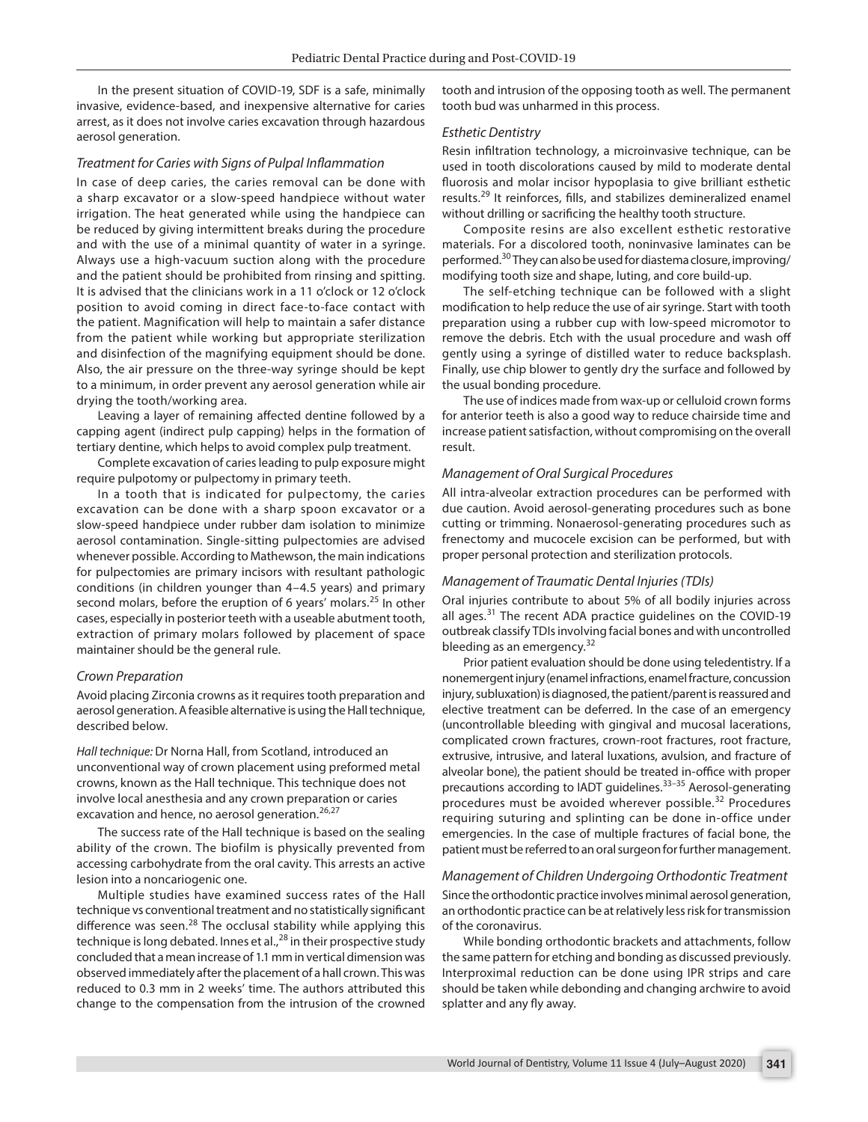In the present situation of COVID-19, SDF is a safe, minimally invasive, evidence-based, and inexpensive alternative for caries arrest, as it does not involve caries excavation through hazardous aerosol generation.

#### *Treatment for Caries with Signs of Pulpal Inflammation*

In case of deep caries, the caries removal can be done with a sharp excavator or a slow-speed handpiece without water irrigation. The heat generated while using the handpiece can be reduced by giving intermittent breaks during the procedure and with the use of a minimal quantity of water in a syringe. Always use a high-vacuum suction along with the procedure and the patient should be prohibited from rinsing and spitting. It is advised that the clinicians work in a 11 o'clock or 12 o'clock position to avoid coming in direct face-to-face contact with the patient. Magnification will help to maintain a safer distance from the patient while working but appropriate sterilization and disinfection of the magnifying equipment should be done. Also, the air pressure on the three-way syringe should be kept to a minimum, in order prevent any aerosol generation while air drying the tooth/working area.

Leaving a layer of remaining affected dentine followed by a capping agent (indirect pulp capping) helps in the formation of tertiary dentine, which helps to avoid complex pulp treatment.

Complete excavation of caries leading to pulp exposure might require pulpotomy or pulpectomy in primary teeth.

In a tooth that is indicated for pulpectomy, the caries excavation can be done with a sharp spoon excavator or a slow-speed handpiece under rubber dam isolation to minimize aerosol contamination. Single-sitting pulpectomies are advised whenever possible. According to Mathewson, the main indications for pulpectomies are primary incisors with resultant pathologic conditions (in children younger than 4–4.5 years) and primary second molars, before the eruption of 6 years' molars.<sup>25</sup> In other cases, especially in posterior teeth with a useable abutment tooth, extraction of primary molars followed by placement of space maintainer should be the general rule.

#### *Crown Preparation*

Avoid placing Zirconia crowns as it requires tooth preparation and aerosol generation. A feasible alternative is using the Hall technique, described below.

*Hall technique:* Dr Norna Hall, from Scotland, introduced an unconventional way of crown placement using preformed metal crowns, known as the Hall technique. This technique does not involve local anesthesia and any crown preparation or caries excavation and hence, no aerosol generation.<sup>26,27</sup>

The success rate of the Hall technique is based on the sealing ability of the crown. The biofilm is physically prevented from accessing carbohydrate from the oral cavity. This arrests an active lesion into a noncariogenic one.

Multiple studies have examined success rates of the Hall technique vs conventional treatment and no statistically significant difference was seen.<sup>28</sup> The occlusal stability while applying this technique is long debated. Innes et al., $^{28}$  in their prospective study concluded that a mean increase of 1.1 mm in vertical dimension was observed immediately after the placement of a hall crown. This was reduced to 0.3 mm in 2 weeks' time. The authors attributed this change to the compensation from the intrusion of the crowned

tooth and intrusion of the opposing tooth as well. The permanent tooth bud was unharmed in this process.

#### *Esthetic Dentistry*

Resin infiltration technology, a microinvasive technique, can be used in tooth discolorations caused by mild to moderate dental fluorosis and molar incisor hypoplasia to give brilliant esthetic results.<sup>29</sup> It reinforces, fills, and stabilizes demineralized enamel without drilling or sacrificing the healthy tooth structure.

Composite resins are also excellent esthetic restorative materials. For a discolored tooth, noninvasive laminates can be performed.30 They can also be used for diastema closure, improving/ modifying tooth size and shape, luting, and core build-up.

The self-etching technique can be followed with a slight modification to help reduce the use of air syringe. Start with tooth preparation using a rubber cup with low-speed micromotor to remove the debris. Etch with the usual procedure and wash off gently using a syringe of distilled water to reduce backsplash. Finally, use chip blower to gently dry the surface and followed by the usual bonding procedure.

The use of indices made from wax-up or celluloid crown forms for anterior teeth is also a good way to reduce chairside time and increase patient satisfaction, without compromising on the overall result.

#### *Management of Oral Surgical Procedures*

All intra-alveolar extraction procedures can be performed with due caution. Avoid aerosol-generating procedures such as bone cutting or trimming. Nonaerosol-generating procedures such as frenectomy and mucocele excision can be performed, but with proper personal protection and sterilization protocols.

#### *Management of Traumatic Dental Injuries (TDIs)*

Oral injuries contribute to about 5% of all bodily injuries across all ages.<sup>31</sup> The recent ADA practice guidelines on the COVID-19 outbreak classify TDIs involving facial bones and with uncontrolled bleeding as an emergency. $32$ 

Prior patient evaluation should be done using teledentistry. If a nonemergent injury (enamel infractions, enamel fracture, concussion injury, subluxation) is diagnosed, the patient/parent is reassured and elective treatment can be deferred. In the case of an emergency (uncontrollable bleeding with gingival and mucosal lacerations, complicated crown fractures, crown-root fractures, root fracture, extrusive, intrusive, and lateral luxations, avulsion, and fracture of alveolar bone), the patient should be treated in-office with proper precautions according to IADT guidelines.<sup>33-35</sup> Aerosol-generating procedures must be avoided wherever possible.<sup>32</sup> Procedures requiring suturing and splinting can be done in-office under emergencies. In the case of multiple fractures of facial bone, the patient must be referred to an oral surgeon for further management.

## *Management of Children Undergoing Orthodontic Treatment* Since the orthodontic practice involves minimal aerosol generation, an orthodontic practice can be at relatively less risk for transmission of the coronavirus.

While bonding orthodontic brackets and attachments, follow the same pattern for etching and bonding as discussed previously. Interproximal reduction can be done using IPR strips and care should be taken while debonding and changing archwire to avoid splatter and any fly away.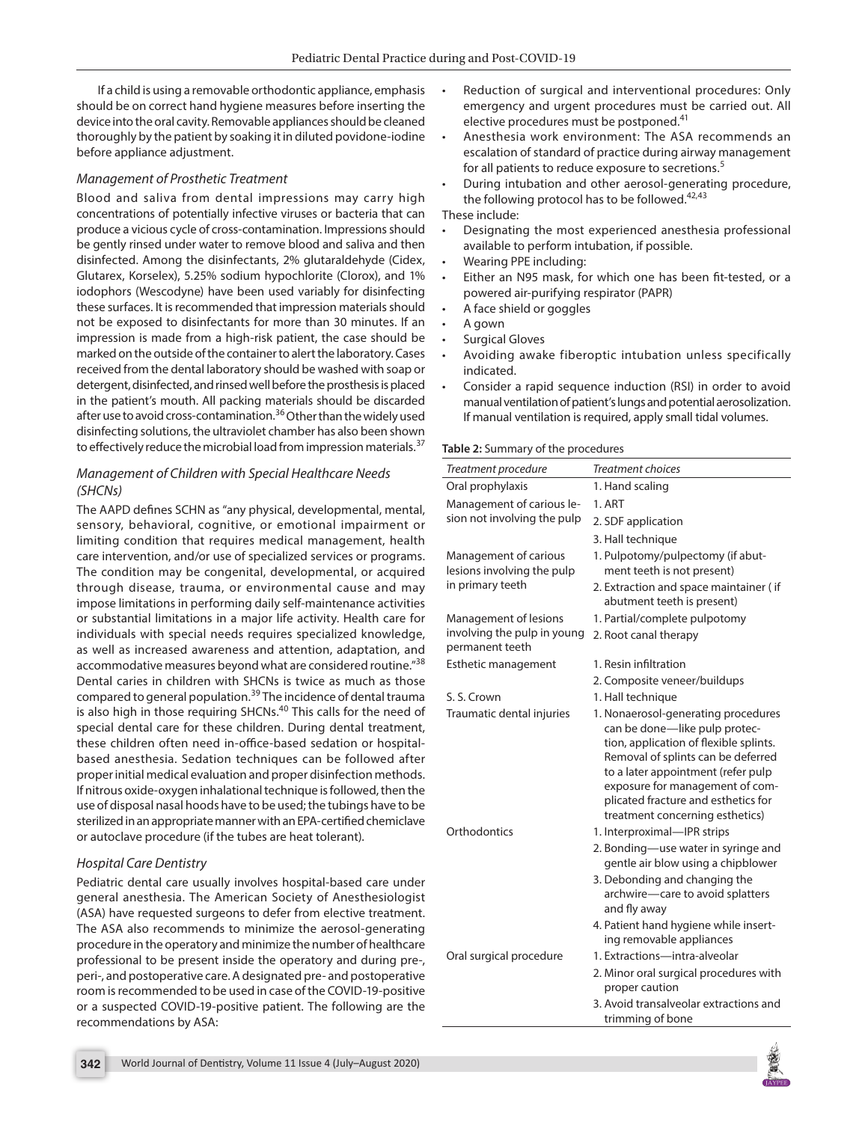If a child is using a removable orthodontic appliance, emphasis should be on correct hand hygiene measures before inserting the device into the oral cavity. Removable appliances should be cleaned thoroughly by the patient by soaking it in diluted povidone-iodine before appliance adjustment.

## *Management of Prosthetic Treatment*

Blood and saliva from dental impressions may carry high concentrations of potentially infective viruses or bacteria that can produce a vicious cycle of cross-contamination. Impressions should be gently rinsed under water to remove blood and saliva and then disinfected. Among the disinfectants, 2% glutaraldehyde (Cidex, Glutarex, Korselex), 5.25% sodium hypochlorite (Clorox), and 1% iodophors (Wescodyne) have been used variably for disinfecting these surfaces. It is recommended that impression materials should not be exposed to disinfectants for more than 30 minutes. If an impression is made from a high-risk patient, the case should be marked on the outside of the container to alert the laboratory. Cases received from the dental laboratory should be washed with soap or detergent, disinfected, and rinsed well before the prosthesis is placed in the patient's mouth. All packing materials should be discarded after use to avoid cross-contamination.<sup>36</sup> Other than the widely used disinfecting solutions, the ultraviolet chamber has also been shown to effectively reduce the microbial load from impression materials.<sup>37</sup>

## *Management of Children with Special Healthcare Needs (SHCNs)*

The AAPD defines SCHN as "any physical, developmental, mental, sensory, behavioral, cognitive, or emotional impairment or limiting condition that requires medical management, health care intervention, and/or use of specialized services or programs. The condition may be congenital, developmental, or acquired through disease, trauma, or environmental cause and may impose limitations in performing daily self-maintenance activities or substantial limitations in a major life activity. Health care for individuals with special needs requires specialized knowledge, as well as increased awareness and attention, adaptation, and accommodative measures beyond what are considered routine."38 Dental caries in children with SHCNs is twice as much as those compared to general population.<sup>39</sup> The incidence of dental trauma is also high in those requiring SHCNs.<sup>40</sup> This calls for the need of special dental care for these children. During dental treatment, these children often need in-office-based sedation or hospitalbased anesthesia. Sedation techniques can be followed after proper initial medical evaluation and proper disinfection methods. If nitrous oxide-oxygen inhalational technique is followed, then the use of disposal nasal hoods have to be used; the tubings have to be sterilized in an appropriate manner with an EPA-certified chemiclave or autoclave procedure (if the tubes are heat tolerant).

## *Hospital Care Dentistry*

Pediatric dental care usually involves hospital-based care under general anesthesia. The American Society of Anesthesiologist (ASA) have requested surgeons to defer from elective treatment. The ASA also recommends to minimize the aerosol-generating procedure in the operatory and minimize the number of healthcare professional to be present inside the operatory and during pre-, peri-, and postoperative care. A designated pre- and postoperative room is recommended to be used in case of the COVID-19-positive or a suspected COVID-19-positive patient. The following are the recommendations by ASA:

- Anesthesia work environment: The ASA recommends an escalation of standard of practice during airway management for all patients to reduce exposure to secretions.<sup>5</sup>
- During intubation and other aerosol-generating procedure, the following protocol has to be followed. $42,43$ These include:
- Designating the most experienced anesthesia professional available to perform intubation, if possible.
- Wearing PPE including:
- Either an N95 mask, for which one has been fit-tested, or a powered air-purifying respirator (PAPR)
- A face shield or goggles
- A gown
- Surgical Gloves
- Avoiding awake fiberoptic intubation unless specifically indicated.
- Consider a rapid sequence induction (RSI) in order to avoid manual ventilation of patient's lungs and potential aerosolization. If manual ventilation is required, apply small tidal volumes.

#### **Table 2:** Summary of the procedures

| Treatment procedure                                                     | <b>Treatment choices</b>                                                                                                                                                                                                                                                                                |
|-------------------------------------------------------------------------|---------------------------------------------------------------------------------------------------------------------------------------------------------------------------------------------------------------------------------------------------------------------------------------------------------|
| Oral prophylaxis                                                        | 1. Hand scaling                                                                                                                                                                                                                                                                                         |
| Management of carious le-                                               | 1. ART                                                                                                                                                                                                                                                                                                  |
| sion not involving the pulp                                             | 2. SDF application                                                                                                                                                                                                                                                                                      |
|                                                                         | 3. Hall technique                                                                                                                                                                                                                                                                                       |
| Management of carious<br>lesions involving the pulp<br>in primary teeth | 1. Pulpotomy/pulpectomy (if abut-<br>ment teeth is not present)                                                                                                                                                                                                                                         |
|                                                                         | 2. Extraction and space maintainer (if<br>abutment teeth is present)                                                                                                                                                                                                                                    |
| Management of lesions                                                   | 1. Partial/complete pulpotomy                                                                                                                                                                                                                                                                           |
| involving the pulp in young<br>permanent teeth                          | 2. Root canal therapy                                                                                                                                                                                                                                                                                   |
| Esthetic management                                                     | 1. Resin infiltration                                                                                                                                                                                                                                                                                   |
|                                                                         | 2. Composite veneer/buildups                                                                                                                                                                                                                                                                            |
| S. S. Crown                                                             | 1. Hall technique                                                                                                                                                                                                                                                                                       |
| Traumatic dental injuries                                               | 1. Nonaerosol-generating procedures<br>can be done-like pulp protec-<br>tion, application of flexible splints.<br>Removal of splints can be deferred<br>to a later appointment (refer pulp<br>exposure for management of com-<br>plicated fracture and esthetics for<br>treatment concerning esthetics) |
| Orthodontics                                                            | 1. Interproximal-IPR strips                                                                                                                                                                                                                                                                             |
|                                                                         | 2. Bonding—use water in syringe and<br>gentle air blow using a chipblower<br>3. Debonding and changing the<br>archwire-care to avoid splatters<br>and fly away                                                                                                                                          |
|                                                                         | 4. Patient hand hygiene while insert-<br>ing removable appliances                                                                                                                                                                                                                                       |
| Oral surgical procedure                                                 | 1. Extractions-intra-alveolar                                                                                                                                                                                                                                                                           |
|                                                                         | 2. Minor oral surgical procedures with<br>proper caution                                                                                                                                                                                                                                                |
|                                                                         | 3. Avoid transalveolar extractions and<br>trimming of bone                                                                                                                                                                                                                                              |

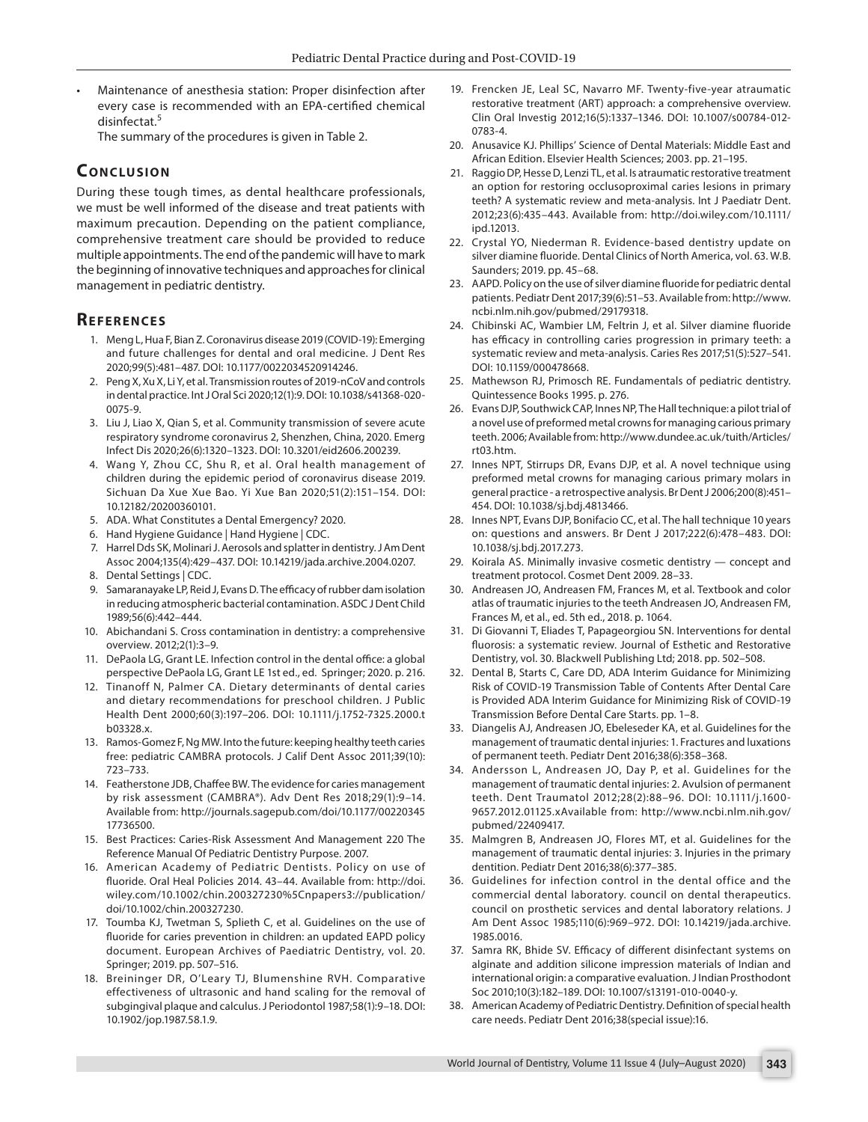• Maintenance of anesthesia station: Proper disinfection after every case is recommended with an EPA-certified chemical disinfectat.<sup>5</sup>

The summary of the procedures is given in Table 2.

# **CONCLUSION**

During these tough times, as dental healthcare professionals, we must be well informed of the disease and treat patients with maximum precaution. Depending on the patient compliance, comprehensive treatment care should be provided to reduce multiple appointments. The end of the pandemic will have to mark the beginning of innovative techniques and approaches for clinical management in pediatric dentistry.

# **REFERENCES**

- 1. Meng L, Hua F, Bian Z. Coronavirus disease 2019 (COVID-19): Emerging and future challenges for dental and oral medicine. J Dent Res 2020;99(5):481–487. DOI: 10.1177/0022034520914246.
- 2. Peng X, Xu X, Li Y, et al. Transmission routes of 2019-nCoV and controls in dental practice. Int J Oral Sci 2020;12(1):9. DOI: 10.1038/s41368-020- 0075-9.
- 3. Liu J, Liao X, Qian S, et al. Community transmission of severe acute respiratory syndrome coronavirus 2, Shenzhen, China, 2020. Emerg Infect Dis 2020;26(6):1320–1323. DOI: 10.3201/eid2606.200239.
- 4. Wang Y, Zhou CC, Shu R, et al. Oral health management of children during the epidemic period of coronavirus disease 2019. Sichuan Da Xue Xue Bao. Yi Xue Ban 2020;51(2):151–154. DOI: 10.12182/20200360101.
- 5. ADA. What Constitutes a Dental Emergency? 2020.
- 6. Hand Hygiene Guidance | Hand Hygiene | CDC.
- 7. Harrel Dds SK, Molinari J. Aerosols and splatter in dentistry. J Am Dent Assoc 2004;135(4):429–437. DOI: 10.14219/jada.archive.2004.0207.
- 8. Dental Settings | CDC.
- Samaranayake LP, Reid J, Evans D. The efficacy of rubber dam isolation in reducing atmospheric bacterial contamination. ASDC J Dent Child 1989;56(6):442–444.
- 10. Abichandani S. Cross contamination in dentistry: a comprehensive overview. 2012;2(1):3–9.
- 11. DePaola LG, Grant LE. Infection control in the dental office: a global perspective DePaola LG, Grant LE 1st ed., ed. Springer; 2020. p. 216.
- 12. Tinanoff N, Palmer CA. Dietary determinants of dental caries and dietary recommendations for preschool children. J Public Health Dent 2000;60(3):197–206. DOI: 10.1111/j.1752-7325.2000.t b03328.x.
- 13. Ramos-Gomez F, Ng MW. Into the future: keeping healthy teeth caries free: pediatric CAMBRA protocols. J Calif Dent Assoc 2011;39(10): 723–733.
- 14. Featherstone JDB, Chaffee BW. The evidence for caries management by risk assessment (CAMBRA®). Adv Dent Res 2018;29(1):9–14. Available from: http://journals.sagepub.com/doi/10.1177/00220345 17736500.
- 15. Best Practices: Caries-Risk Assessment And Management 220 The Reference Manual Of Pediatric Dentistry Purpose. 2007.
- 16. American Academy of Pediatric Dentists. Policy on use of fluoride. Oral Heal Policies 2014. 43–44. Available from: http://doi. wiley.com/10.1002/chin.200327230%5Cnpapers3://publication/ doi/10.1002/chin.200327230.
- 17. Toumba KJ, Twetman S, Splieth C, et al. Guidelines on the use of fluoride for caries prevention in children: an updated EAPD policy document. European Archives of Paediatric Dentistry, vol. 20. Springer; 2019. pp. 507–516.
- 18. Breininger DR, O'Leary TJ, Blumenshine RVH. Comparative effectiveness of ultrasonic and hand scaling for the removal of subgingival plaque and calculus. J Periodontol 1987;58(1):9–18. DOI: 10.1902/jop.1987.58.1.9.
- 19. Frencken JE, Leal SC, Navarro MF. Twenty-five-year atraumatic restorative treatment (ART) approach: a comprehensive overview. Clin Oral Investig 2012;16(5):1337–1346. DOI: 10.1007/s00784-012- 0783-4.
- 20. Anusavice KJ. Phillips' Science of Dental Materials: Middle East and African Edition. Elsevier Health Sciences; 2003. pp. 21–195.
- 21. Raggio DP, Hesse D, Lenzi TL, et al. Is atraumatic restorative treatment an option for restoring occlusoproximal caries lesions in primary teeth? A systematic review and meta-analysis. Int J Paediatr Dent. 2012;23(6):435–443. Available from: http://doi.wiley.com/10.1111/ ipd.12013.
- 22. Crystal YO, Niederman R. Evidence-based dentistry update on silver diamine fluoride. Dental Clinics of North America, vol. 63. W.B. Saunders; 2019. pp. 45–68.
- 23. AAPD. Policy on the use of silver diamine fluoride for pediatric dental patients. Pediatr Dent 2017;39(6):51–53. Available from: http://www. ncbi.nlm.nih.gov/pubmed/29179318.
- 24. Chibinski AC, Wambier LM, Feltrin J, et al. Silver diamine fluoride has efficacy in controlling caries progression in primary teeth: a systematic review and meta-analysis. Caries Res 2017;51(5):527–541. DOI: 10.1159/000478668.
- 25. Mathewson RJ, Primosch RE. Fundamentals of pediatric dentistry. Quintessence Books 1995. p. 276.
- 26. Evans DJP, Southwick CAP, Innes NP, The Hall technique: a pilot trial of a novel use of preformed metal crowns for managing carious primary teeth. 2006; Available from: http://www.dundee.ac.uk/tuith/Articles/ rt03.htm.
- 27. Innes NPT, Stirrups DR, Evans DJP, et al. A novel technique using preformed metal crowns for managing carious primary molars in general practice - a retrospective analysis. Br Dent J 2006;200(8):451– 454. DOI: 10.1038/sj.bdj.4813466.
- 28. Innes NPT, Evans DJP, Bonifacio CC, et al. The hall technique 10 years on: questions and answers. Br Dent J 2017;222(6):478–483. DOI: 10.1038/sj.bdj.2017.273.
- 29. Koirala AS. Minimally invasive cosmetic dentistry concept and treatment protocol. Cosmet Dent 2009. 28–33.
- 30. Andreasen JO, Andreasen FM, Frances M, et al. Textbook and color atlas of traumatic injuries to the teeth Andreasen JO, Andreasen FM, Frances M, et al., ed. 5th ed., 2018. p. 1064.
- 31. Di Giovanni T, Eliades T, Papageorgiou SN. Interventions for dental fluorosis: a systematic review. Journal of Esthetic and Restorative Dentistry, vol. 30. Blackwell Publishing Ltd; 2018. pp. 502–508.
- 32. Dental B, Starts C, Care DD, ADA Interim Guidance for Minimizing Risk of COVID-19 Transmission Table of Contents After Dental Care is Provided ADA Interim Guidance for Minimizing Risk of COVID-19 Transmission Before Dental Care Starts. pp. 1–8.
- 33. Diangelis AJ, Andreasen JO, Ebeleseder KA, et al. Guidelines for the management of traumatic dental injuries: 1. Fractures and luxations of permanent teeth. Pediatr Dent 2016;38(6):358–368.
- 34. Andersson L, Andreasen JO, Day P, et al. Guidelines for the management of traumatic dental injuries: 2. Avulsion of permanent teeth. Dent Traumatol 2012;28(2):88–96. DOI: 10.1111/j.1600- 9657.2012.01125.xAvailable from: http://www.ncbi.nlm.nih.gov/ pubmed/22409417.
- 35. Malmgren B, Andreasen JO, Flores MT, et al. Guidelines for the management of traumatic dental injuries: 3. Injuries in the primary dentition. Pediatr Dent 2016;38(6):377–385.
- 36. Guidelines for infection control in the dental office and the commercial dental laboratory. council on dental therapeutics. council on prosthetic services and dental laboratory relations. J Am Dent Assoc 1985;110(6):969–972. DOI: 10.14219/jada.archive. 1985.0016.
- 37. Samra RK, Bhide SV. Efficacy of different disinfectant systems on alginate and addition silicone impression materials of Indian and international origin: a comparative evaluation. J Indian Prosthodont Soc 2010;10(3):182–189. DOI: 10.1007/s13191-010-0040-y.
- 38. American Academy of Pediatric Dentistry. Definition of special health care needs. Pediatr Dent 2016;38(special issue):16.